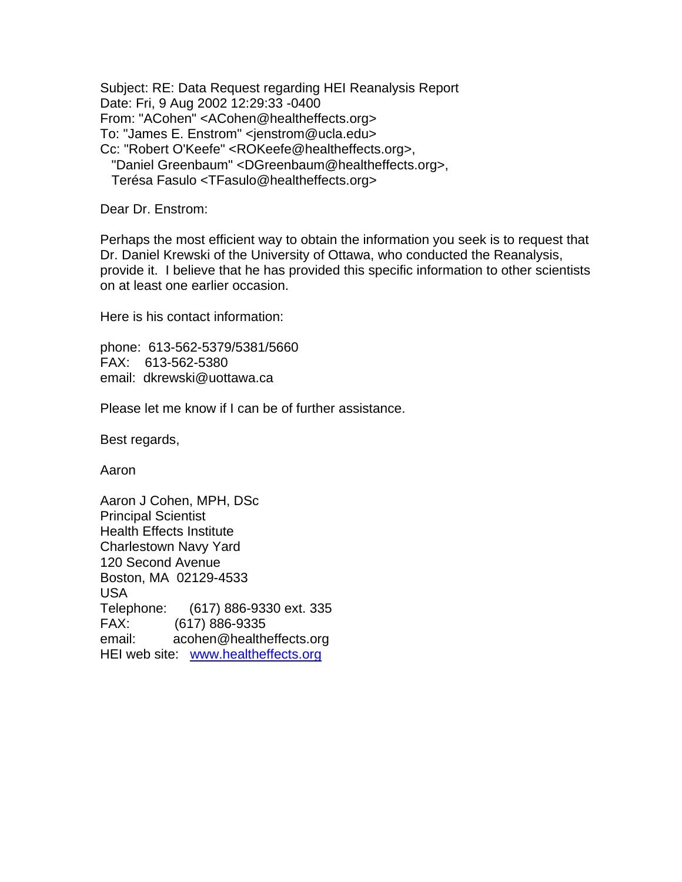Subject: RE: Data Request regarding HEI Reanalysis Report Date: Fri, 9 Aug 2002 12:29:33 -0400 From: "ACohen" <ACohen@healtheffects.org> To: "James E. Enstrom" <jenstrom@ucla.edu> Cc: "Robert O'Keefe" <ROKeefe@healtheffects.org>, "Daniel Greenbaum" <DGreenbaum@healtheffects.org>, Terésa Fasulo <TFasulo@healtheffects.org>

Dear Dr. Enstrom:

Perhaps the most efficient way to obtain the information you seek is to request that Dr. Daniel Krewski of the University of Ottawa, who conducted the Reanalysis, provide it. I believe that he has provided this specific information to other scientists on at least one earlier occasion.

Here is his contact information:

phone: 613-562-5379/5381/5660 FAX: 613-562-5380 email: dkrewski@uottawa.ca

Please let me know if I can be of further assistance.

Best regards,

Aaron

Aaron J Cohen, MPH, DSc Principal Scientist Health Effects Institute Charlestown Navy Yard 120 Second Avenue Boston, MA 02129-4533 USA Telephone: (617) 886-9330 ext. 335 FAX: (617) 886-9335 email: acohen@healtheffects.org HEI web site: [www.healtheffects.org](http://www.healtheffects.org/)